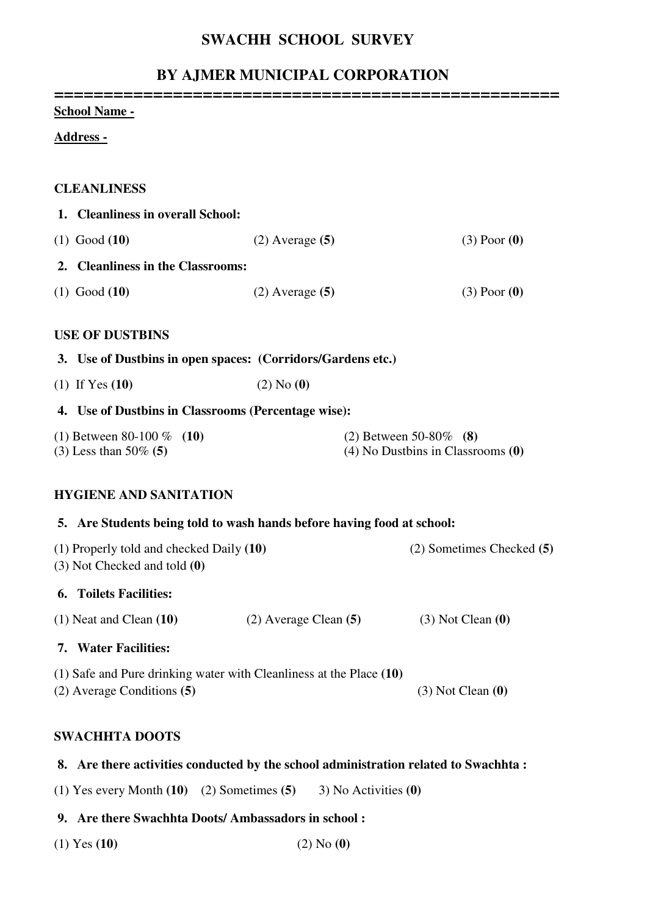## **SWACHH SCHOOL SURVEY**

## **BY AJMER MUNICIPAL CORPORATION**

| <b><u>School Name -</u></b>                                                                               |                           |  |                                                                  |
|-----------------------------------------------------------------------------------------------------------|---------------------------|--|------------------------------------------------------------------|
| <u> Address -</u>                                                                                         |                           |  |                                                                  |
| <b>CLEANLINESS</b>                                                                                        |                           |  |                                                                  |
| 1. Cleanliness in overall School:                                                                         |                           |  |                                                                  |
| $(1)$ Good $(10)$                                                                                         | $(2)$ Average $(5)$       |  | $(3)$ Poor $(0)$                                                 |
| 2. Cleanliness in the Classrooms:                                                                         |                           |  |                                                                  |
| $(1)$ Good $(10)$                                                                                         | $(2)$ Average $(5)$       |  | $(3)$ Poor $(0)$                                                 |
| <b>USE OF DUSTBINS</b>                                                                                    |                           |  |                                                                  |
| 3. Use of Dustbins in open spaces: (Corridors/Gardens etc.)                                               |                           |  |                                                                  |
| (1) If Yes $(10)$                                                                                         | $(2)$ No $(0)$            |  |                                                                  |
| 4. Use of Dustbins in Classrooms (Percentage wise):                                                       |                           |  |                                                                  |
| (1) Between 80-100 $%$ (10)<br>$(3)$ Less than 50% $(5)$                                                  |                           |  | (2) Between 50-80\% (8)<br>$(4)$ No Dustbins in Classrooms $(0)$ |
| <b>HYGIENE AND SANITATION</b>                                                                             |                           |  |                                                                  |
| 5. Are Students being told to wash hands before having food at school:                                    |                           |  |                                                                  |
| (1) Properly told and checked Daily (10)<br>$(3)$ Not Checked and told $(0)$                              |                           |  | (2) Sometimes Checked (5)                                        |
| <b>6. Toilets Facilities:</b>                                                                             |                           |  |                                                                  |
| $(1)$ Neat and Clean $(10)$                                                                               | $(2)$ Average Clean $(5)$ |  | $(3)$ Not Clean $(0)$                                            |
| 7. Water Facilities:                                                                                      |                           |  |                                                                  |
| $(1)$ Safe and Pure drinking water with Cleanliness at the Place $(10)$<br>$(2)$ Average Conditions $(5)$ |                           |  | $(3)$ Not Clean $(0)$                                            |

### **SWACHHTA DOOTS**

#### **8. Are there activities conducted by the school administration related to Swachhta :**

(1) Yes every Month **(10)** (2) Sometimes **(5)** 3) No Activities **(0)** 

### **9. Are there Swachhta Doots/ Ambassadors in school :**

(1) Yes **(10)** (2) No **(0)**